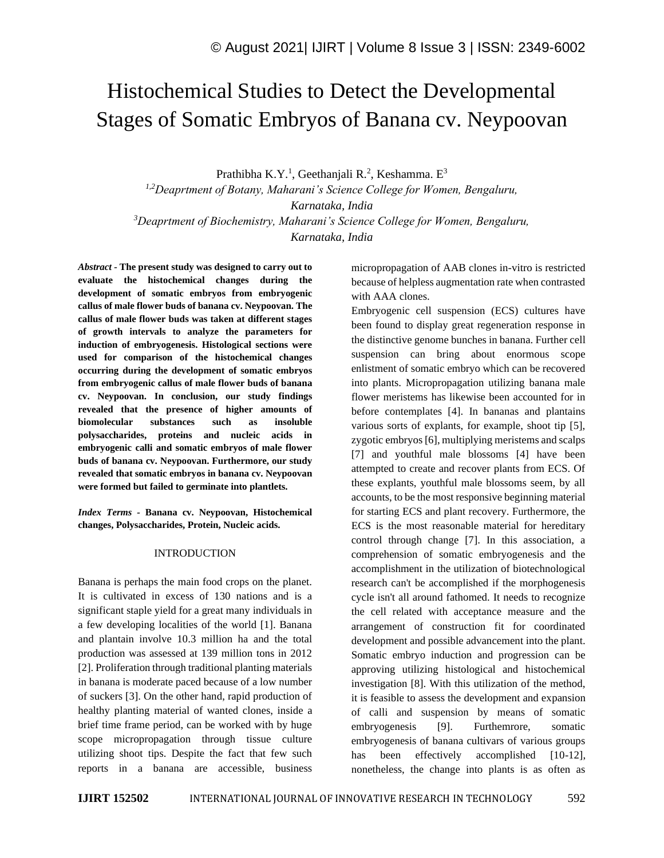# Histochemical Studies to Detect the Developmental Stages of Somatic Embryos of Banana cv. Neypoovan

Prathibha K.Y.<sup>1</sup>, Geethanjali R.<sup>2</sup>, Keshamma. E<sup>3</sup>

*1,2Deaprtment of Botany, Maharani's Science College for Women, Bengaluru, Karnataka, India <sup>3</sup>Deaprtment of Biochemistry, Maharani's Science College for Women, Bengaluru, Karnataka, India*

*Abstract -* **The present study was designed to carry out to evaluate the histochemical changes during the development of somatic embryos from embryogenic callus of male flower buds of banana cv. Neypoovan. The callus of male flower buds was taken at different stages of growth intervals to analyze the parameters for induction of embryogenesis. Histological sections were used for comparison of the histochemical changes occurring during the development of somatic embryos from embryogenic callus of male flower buds of banana cv. Neypoovan. In conclusion, our study findings revealed that the presence of higher amounts of biomolecular substances such as insoluble polysaccharides, proteins and nucleic acids in embryogenic calli and somatic embryos of male flower buds of banana cv. Neypoovan. Furthermore, our study revealed that somatic embryos in banana cv. Neypoovan were formed but failed to germinate into plantlets.**

*Index Terms -* **Banana cv. Neypoovan, Histochemical changes, Polysaccharides, Protein, Nucleic acids.**

## INTRODUCTION

Banana is perhaps the main food crops on the planet. It is cultivated in excess of 130 nations and is a significant staple yield for a great many individuals in a few developing localities of the world [1]. Banana and plantain involve 10.3 million ha and the total production was assessed at 139 million tons in 2012 [2]. Proliferation through traditional planting materials in banana is moderate paced because of a low number of suckers [3]. On the other hand, rapid production of healthy planting material of wanted clones, inside a brief time frame period, can be worked with by huge scope micropropagation through tissue culture utilizing shoot tips. Despite the fact that few such reports in a banana are accessible, business micropropagation of AAB clones in-vitro is restricted because of helpless augmentation rate when contrasted with AAA clones.

Embryogenic cell suspension (ECS) cultures have been found to display great regeneration response in the distinctive genome bunches in banana. Further cell suspension can bring about enormous scope enlistment of somatic embryo which can be recovered into plants. Micropropagation utilizing banana male flower meristems has likewise been accounted for in before contemplates [4]. In bananas and plantains various sorts of explants, for example, shoot tip [5], zygotic embryos [6], multiplying meristems and scalps [7] and youthful male blossoms [4] have been attempted to create and recover plants from ECS. Of these explants, youthful male blossoms seem, by all accounts, to be the most responsive beginning material for starting ECS and plant recovery. Furthermore, the ECS is the most reasonable material for hereditary control through change [7]. In this association, a comprehension of somatic embryogenesis and the accomplishment in the utilization of biotechnological research can't be accomplished if the morphogenesis cycle isn't all around fathomed. It needs to recognize the cell related with acceptance measure and the arrangement of construction fit for coordinated development and possible advancement into the plant. Somatic embryo induction and progression can be approving utilizing histological and histochemical investigation [8]. With this utilization of the method, it is feasible to assess the development and expansion of calli and suspension by means of somatic embryogenesis [9]. Furthemrore, somatic embryogenesis of banana cultivars of various groups has been effectively accomplished [10-12], nonetheless, the change into plants is as often as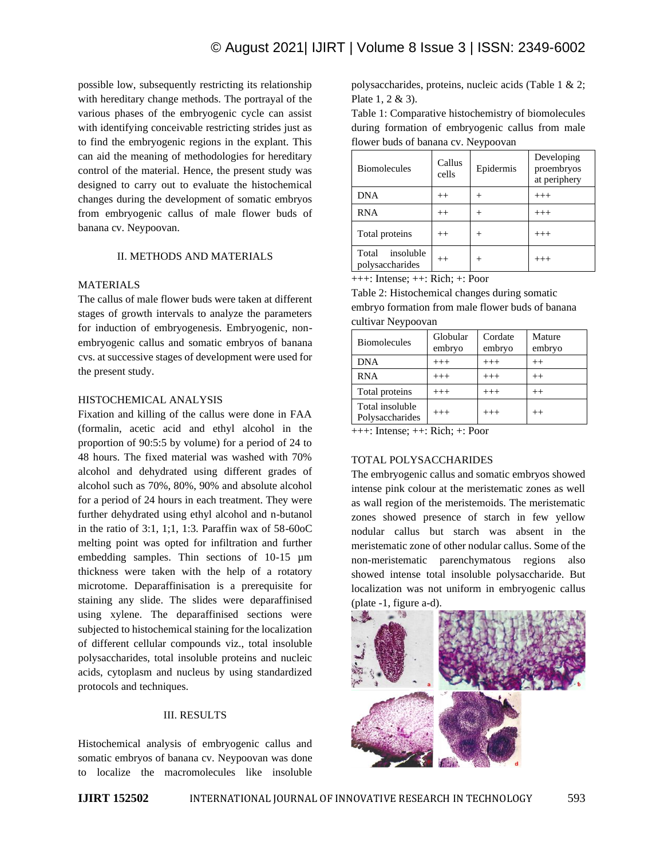possible low, subsequently restricting its relationship with hereditary change methods. The portrayal of the various phases of the embryogenic cycle can assist with identifying conceivable restricting strides just as to find the embryogenic regions in the explant. This can aid the meaning of methodologies for hereditary control of the material. Hence, the present study was designed to carry out to evaluate the histochemical changes during the development of somatic embryos from embryogenic callus of male flower buds of banana cv. Neypoovan.

## II. METHODS AND MATERIALS

#### MATERIALS

The callus of male flower buds were taken at different stages of growth intervals to analyze the parameters for induction of embryogenesis. Embryogenic, nonembryogenic callus and somatic embryos of banana cvs. at successive stages of development were used for the present study.

## HISTOCHEMICAL ANALYSIS

Fixation and killing of the callus were done in FAA (formalin, acetic acid and ethyl alcohol in the proportion of 90:5:5 by volume) for a period of 24 to 48 hours. The fixed material was washed with 70% alcohol and dehydrated using different grades of alcohol such as 70%, 80%, 90% and absolute alcohol for a period of 24 hours in each treatment. They were further dehydrated using ethyl alcohol and n-butanol in the ratio of 3:1, 1;1, 1:3. Paraffin wax of 58-60oC melting point was opted for infiltration and further embedding samples. Thin sections of 10-15 µm thickness were taken with the help of a rotatory microtome. Deparaffinisation is a prerequisite for staining any slide. The slides were deparaffinised using xylene. The deparaffinised sections were subjected to histochemical staining for the localization of different cellular compounds viz., total insoluble polysaccharides, total insoluble proteins and nucleic acids, cytoplasm and nucleus by using standardized protocols and techniques.

## III. RESULTS

Histochemical analysis of embryogenic callus and somatic embryos of banana cv. Neypoovan was done to localize the macromolecules like insoluble polysaccharides, proteins, nucleic acids (Table 1 & 2; Plate 1, 2 & 3).

Table 1: Comparative histochemistry of biomolecules during formation of embryogenic callus from male flower buds of banana cv. Neypoovan

| <b>Biomolecules</b>                   | Callus<br>cells | Epidermis | Developing<br>proembryos<br>at periphery |
|---------------------------------------|-----------------|-----------|------------------------------------------|
| <b>DNA</b>                            | $^{++}$         |           | $^{+++}$                                 |
| <b>RNA</b>                            | $^{++}$         | +         | $^{+++}$                                 |
| Total proteins                        | $^{++}$         | +         | $^{+++}$                                 |
| insoluble<br>Total<br>polysaccharides | $^{++}$         | $^{+}$    | $^{+++}$                                 |

+++: Intense; ++: Rich; +: Poor

Table 2: Histochemical changes during somatic embryo formation from male flower buds of banana cultivar Neypoovan

| <b>Biomolecules</b>                | Globular<br>embryo | Cordate<br>embryo | Mature<br>embryo |
|------------------------------------|--------------------|-------------------|------------------|
| <b>DNA</b>                         | $^{+++}$           | $^{+++}$          | $^{++}$          |
| <b>RNA</b>                         | $^{+++}$           | $^{+++}$          | $^{++}$          |
| Total proteins                     | $^{+++}$           | $^{+++}$          | $^{++}$          |
| Total insoluble<br>Polysaccharides | $^{+++}$           | $^{+++}$          | $^{++}$          |

+++: Intense; ++: Rich; +: Poor

## TOTAL POLYSACCHARIDES

The embryogenic callus and somatic embryos showed intense pink colour at the meristematic zones as well as wall region of the meristemoids. The meristematic zones showed presence of starch in few yellow nodular callus but starch was absent in the meristematic zone of other nodular callus. Some of the non-meristematic parenchymatous regions also showed intense total insoluble polysaccharide. But localization was not uniform in embryogenic callus (plate -1, figure a-d).

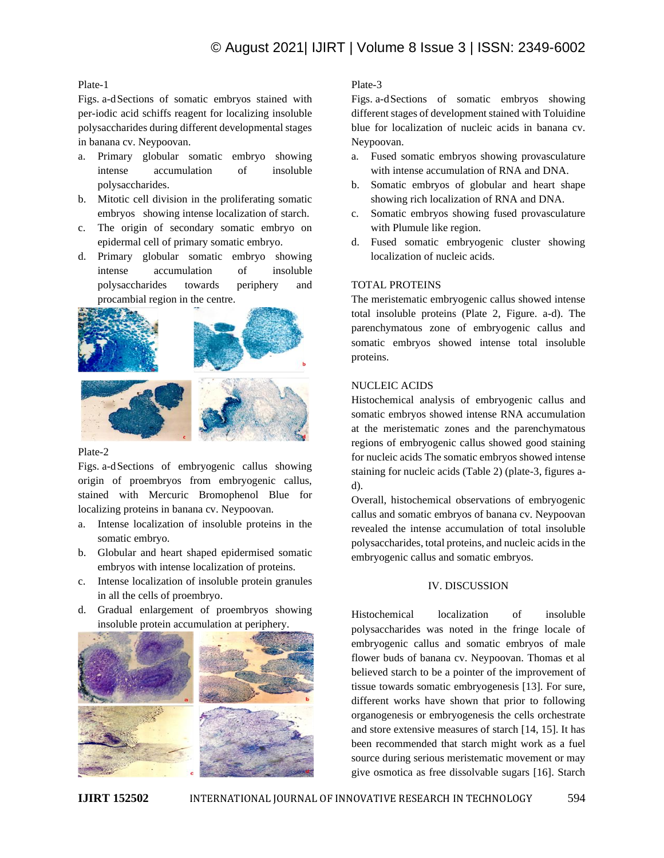# Plate-1

Figs. a-dSections of somatic embryos stained with per-iodic acid schiffs reagent for localizing insoluble polysaccharides during different developmental stages in banana cv. Neypoovan.

- a. Primary globular somatic embryo showing intense accumulation of insoluble polysaccharides.
- b. Mitotic cell division in the proliferating somatic embryos showing intense localization of starch.
- c. The origin of secondary somatic embryo on epidermal cell of primary somatic embryo.
- d. Primary globular somatic embryo showing intense accumulation of insoluble polysaccharides towards periphery and procambial region in the centre.



#### Plate-2

Figs. a-dSections of embryogenic callus showing origin of proembryos from embryogenic callus, stained with Mercuric Bromophenol Blue for localizing proteins in banana cv. Neypoovan.

- a. Intense localization of insoluble proteins in the somatic embryo.
- b. Globular and heart shaped epidermised somatic embryos with intense localization of proteins.
- c. Intense localization of insoluble protein granules in all the cells of proembryo.
- d. Gradual enlargement of proembryos showing insoluble protein accumulation at periphery.



# Plate-3

Figs. a-dSections of somatic embryos showing different stages of development stained with Toluidine blue for localization of nucleic acids in banana cv. Neypoovan.

- a. Fused somatic embryos showing provasculature with intense accumulation of RNA and DNA.
- b. Somatic embryos of globular and heart shape showing rich localization of RNA and DNA.
- c. Somatic embryos showing fused provasculature with Plumule like region.
- d. Fused somatic embryogenic cluster showing localization of nucleic acids.

#### TOTAL PROTEINS

The meristematic embryogenic callus showed intense total insoluble proteins (Plate 2, Figure. a-d). The parenchymatous zone of embryogenic callus and somatic embryos showed intense total insoluble proteins.

#### NUCLEIC ACIDS

Histochemical analysis of embryogenic callus and somatic embryos showed intense RNA accumulation at the meristematic zones and the parenchymatous regions of embryogenic callus showed good staining for nucleic acids The somatic embryos showed intense staining for nucleic acids (Table 2) (plate-3, figures ad).

Overall, histochemical observations of embryogenic callus and somatic embryos of banana cv. Neypoovan revealed the intense accumulation of total insoluble polysaccharides, total proteins, and nucleic acids in the embryogenic callus and somatic embryos.

#### IV. DISCUSSION

Histochemical localization of insoluble polysaccharides was noted in the fringe locale of embryogenic callus and somatic embryos of male flower buds of banana cv. Neypoovan. Thomas et al believed starch to be a pointer of the improvement of tissue towards somatic embryogenesis [13]. For sure, different works have shown that prior to following organogenesis or embryogenesis the cells orchestrate and store extensive measures of starch [14, 15]. It has been recommended that starch might work as a fuel source during serious meristematic movement or may give osmotica as free dissolvable sugars [16]. Starch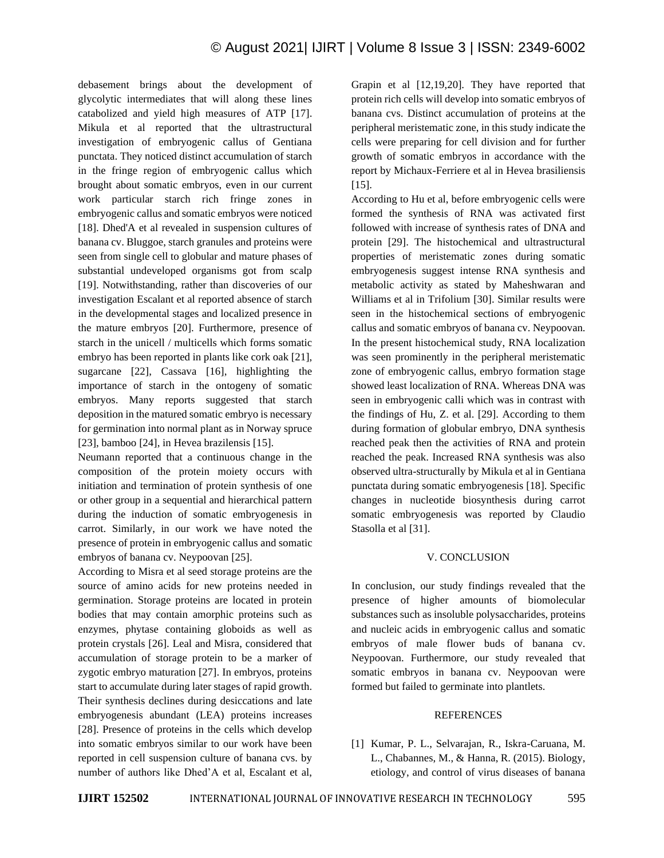debasement brings about the development of glycolytic intermediates that will along these lines catabolized and yield high measures of ATP [17]. Mikula et al reported that the ultrastructural investigation of embryogenic callus of Gentiana punctata. They noticed distinct accumulation of starch in the fringe region of embryogenic callus which brought about somatic embryos, even in our current work particular starch rich fringe zones in embryogenic callus and somatic embryos were noticed [18]. Dhed'A et al revealed in suspension cultures of banana cv. Bluggoe, starch granules and proteins were seen from single cell to globular and mature phases of substantial undeveloped organisms got from scalp [19]. Notwithstanding, rather than discoveries of our investigation Escalant et al reported absence of starch in the developmental stages and localized presence in the mature embryos [20]. Furthermore, presence of starch in the unicell / multicells which forms somatic embryo has been reported in plants like cork oak [21], sugarcane [22], Cassava [16], highlighting the importance of starch in the ontogeny of somatic embryos. Many reports suggested that starch deposition in the matured somatic embryo is necessary for germination into normal plant as in Norway spruce [23], bamboo [24], in Hevea brazilensis [15].

Neumann reported that a continuous change in the composition of the protein moiety occurs with initiation and termination of protein synthesis of one or other group in a sequential and hierarchical pattern during the induction of somatic embryogenesis in carrot. Similarly, in our work we have noted the presence of protein in embryogenic callus and somatic embryos of banana cv. Neypoovan [25].

According to Misra et al seed storage proteins are the source of amino acids for new proteins needed in germination. Storage proteins are located in protein bodies that may contain amorphic proteins such as enzymes, phytase containing globoids as well as protein crystals [26]. Leal and Misra, considered that accumulation of storage protein to be a marker of zygotic embryo maturation [27]. In embryos, proteins start to accumulate during later stages of rapid growth. Their synthesis declines during desiccations and late embryogenesis abundant (LEA) proteins increases [28]. Presence of proteins in the cells which develop into somatic embryos similar to our work have been reported in cell suspension culture of banana cvs. by number of authors like Dhed'A et al, Escalant et al, Grapin et al [12,19,20]. They have reported that protein rich cells will develop into somatic embryos of banana cvs. Distinct accumulation of proteins at the peripheral meristematic zone, in this study indicate the cells were preparing for cell division and for further growth of somatic embryos in accordance with the report by Michaux-Ferriere et al in Hevea brasiliensis [15].

According to Hu et al, before embryogenic cells were formed the synthesis of RNA was activated first followed with increase of synthesis rates of DNA and protein [29]. The histochemical and ultrastructural properties of meristematic zones during somatic embryogenesis suggest intense RNA synthesis and metabolic activity as stated by Maheshwaran and Williams et al in Trifolium [30]. Similar results were seen in the histochemical sections of embryogenic callus and somatic embryos of banana cv. Neypoovan. In the present histochemical study, RNA localization was seen prominently in the peripheral meristematic zone of embryogenic callus, embryo formation stage showed least localization of RNA. Whereas DNA was seen in embryogenic calli which was in contrast with the findings of Hu, Z. et al. [29]. According to them during formation of globular embryo, DNA synthesis reached peak then the activities of RNA and protein reached the peak. Increased RNA synthesis was also observed ultra-structurally by Mikula et al in Gentiana punctata during somatic embryogenesis [18]. Specific changes in nucleotide biosynthesis during carrot somatic embryogenesis was reported by Claudio Stasolla et al [31].

## V. CONCLUSION

In conclusion, our study findings revealed that the presence of higher amounts of biomolecular substances such as insoluble polysaccharides, proteins and nucleic acids in embryogenic callus and somatic embryos of male flower buds of banana cv. Neypoovan. Furthermore, our study revealed that somatic embryos in banana cv. Neypoovan were formed but failed to germinate into plantlets.

## **REFERENCES**

[1] Kumar, P. L., Selvarajan, R., Iskra-Caruana, M. L., Chabannes, M., & Hanna, R. (2015). Biology, etiology, and control of virus diseases of banana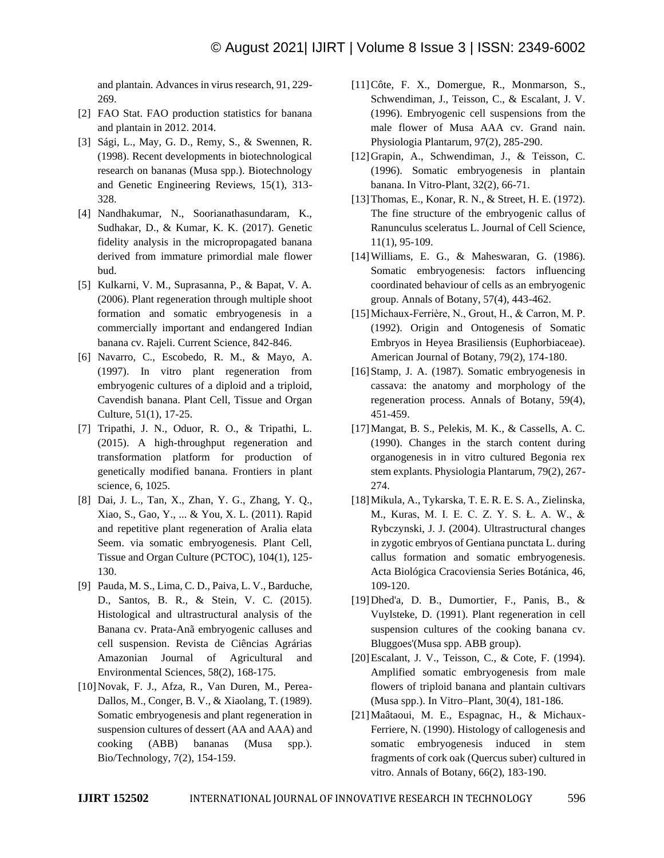and plantain. Advances in virus research, 91, 229- 269.

- [2] FAO Stat. FAO production statistics for banana and plantain in 2012. 2014.
- [3] Sági, L., May, G. D., Remy, S., & Swennen, R. (1998). Recent developments in biotechnological research on bananas (Musa spp.). Biotechnology and Genetic Engineering Reviews, 15(1), 313- 328.
- [4] Nandhakumar, N., Soorianathasundaram, K., Sudhakar, D., & Kumar, K. K. (2017). Genetic fidelity analysis in the micropropagated banana derived from immature primordial male flower bud.
- [5] Kulkarni, V. M., Suprasanna, P., & Bapat, V. A. (2006). Plant regeneration through multiple shoot formation and somatic embryogenesis in a commercially important and endangered Indian banana cv. Rajeli. Current Science, 842-846.
- [6] Navarro, C., Escobedo, R. M., & Mayo, A. (1997). In vitro plant regeneration from embryogenic cultures of a diploid and a triploid, Cavendish banana. Plant Cell, Tissue and Organ Culture, 51(1), 17-25.
- [7] Tripathi, J. N., Oduor, R. O., & Tripathi, L. (2015). A high-throughput regeneration and transformation platform for production of genetically modified banana. Frontiers in plant science, 6, 1025.
- [8] Dai, J. L., Tan, X., Zhan, Y. G., Zhang, Y. Q., Xiao, S., Gao, Y., ... & You, X. L. (2011). Rapid and repetitive plant regeneration of Aralia elata Seem. via somatic embryogenesis. Plant Cell, Tissue and Organ Culture (PCTOC), 104(1), 125- 130.
- [9] Pauda, M. S., Lima, C. D., Paiva, L. V., Barduche, D., Santos, B. R., & Stein, V. C. (2015). Histological and ultrastructural analysis of the Banana cv. Prata-Anã embryogenic calluses and cell suspension. Revista de Ciências Agrárias Amazonian Journal of Agricultural and Environmental Sciences, 58(2), 168-175.
- [10]Novak, F. J., Afza, R., Van Duren, M., Perea-Dallos, M., Conger, B. V., & Xiaolang, T. (1989). Somatic embryogenesis and plant regeneration in suspension cultures of dessert (AA and AAA) and cooking (ABB) bananas (Musa spp.). Bio/Technology, 7(2), 154-159.
- [11]Côte, F. X., Domergue, R., Monmarson, S., Schwendiman, J., Teisson, C., & Escalant, J. V. (1996). Embryogenic cell suspensions from the male flower of Musa AAA cv. Grand nain. Physiologia Plantarum, 97(2), 285-290.
- [12]Grapin, A., Schwendiman, J., & Teisson, C. (1996). Somatic embryogenesis in plantain banana. In Vitro-Plant, 32(2), 66-71.
- [13]Thomas, E., Konar, R. N., & Street, H. E. (1972). The fine structure of the embryogenic callus of Ranunculus sceleratus L. Journal of Cell Science, 11(1), 95-109.
- [14]Williams, E. G., & Maheswaran, G. (1986). Somatic embryogenesis: factors influencing coordinated behaviour of cells as an embryogenic group. Annals of Botany, 57(4), 443-462.
- [15]Michaux‐Ferrière, N., Grout, H., & Carron, M. P. (1992). Origin and Ontogenesis of Somatic Embryos in Heyea Brasiliensis (Euphorbiaceae). American Journal of Botany, 79(2), 174-180.
- [16] Stamp, J. A. (1987). Somatic embryogenesis in cassava: the anatomy and morphology of the regeneration process. Annals of Botany, 59(4), 451-459.
- [17]Mangat, B. S., Pelekis, M. K., & Cassells, A. C. (1990). Changes in the starch content during organogenesis in in vitro cultured Begonia rex stem explants. Physiologia Plantarum, 79(2), 267- 274.
- [18]Mikula, A., Tykarska, T. E. R. E. S. A., Zielinska, M., Kuras, M. I. E. C. Z. Y. S. Ł. A. W., & Rybczynski, J. J. (2004). Ultrastructural changes in zygotic embryos of Gentiana punctata L. during callus formation and somatic embryogenesis. Acta Biológica Cracoviensia Series Botánica, 46, 109-120.
- [19]Dhed'a, D. B., Dumortier, F., Panis, B., & Vuylsteke, D. (1991). Plant regeneration in cell suspension cultures of the cooking banana cv. Bluggoes'(Musa spp. ABB group).
- [20]Escalant, J. V., Teisson, C., & Cote, F. (1994). Amplified somatic embryogenesis from male flowers of triploid banana and plantain cultivars (Musa spp.). In Vitro–Plant, 30(4), 181-186.
- [21]Maâtaoui, M. E., Espagnac, H., & Michaux-Ferriere, N. (1990). Histology of callogenesis and somatic embryogenesis induced in stem fragments of cork oak (Quercus suber) cultured in vitro. Annals of Botany, 66(2), 183-190.